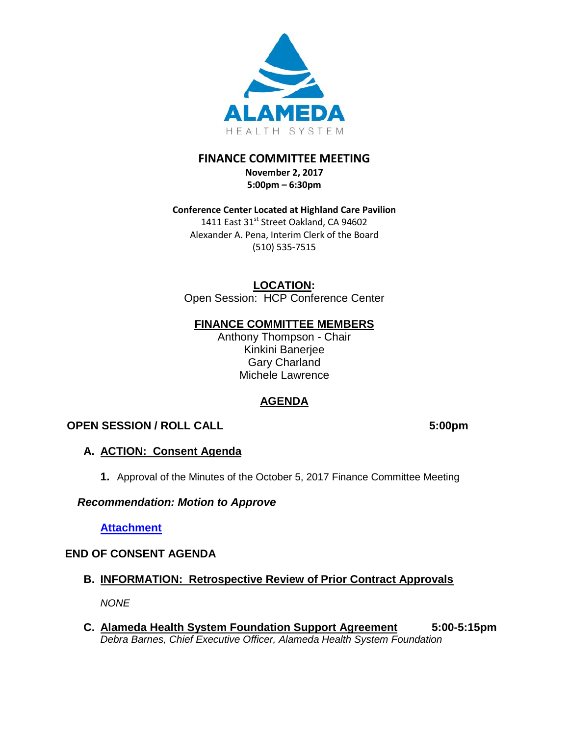

# **FINANCE COMMITTEE MEETING**

**November 2, 2017 5:00pm – 6:30pm** 

**Conference Center Located at Highland Care Pavilion** 1411 East 31<sup>st</sup> Street Oakland, CA 94602 Alexander A. Pena, Interim Clerk of the Board (510) 535-7515

**LOCATION:**

Open Session: HCP Conference Center

## **FINANCE COMMITTEE MEMBERS**

Anthony Thompson - Chair Kinkini Banerjee Gary Charland Michele Lawrence

# **AGENDA**

# **OPEN SESSION / ROLL CALL 5:00pm**

# **A. ACTION: Consent Agenda**

**1.** Approval of the Minutes of the October 5, 2017 Finance Committee Meeting

## *Recommendation: Motion to Approve*

**[Attachment](http://www.alamedahealthsystem.org/wp-content/uploads/2017/10/Finance-Committee-Meeting-Minutes-October-5-2017.pdf)**

# **END OF CONSENT AGENDA**

**B. INFORMATION: Retrospective Review of Prior Contract Approvals**

*NONE* 

**C. Alameda Health System Foundation Support Agreement 5:00-5:15pm** *Debra Barnes, Chief Executive Officer, Alameda Health System Foundation*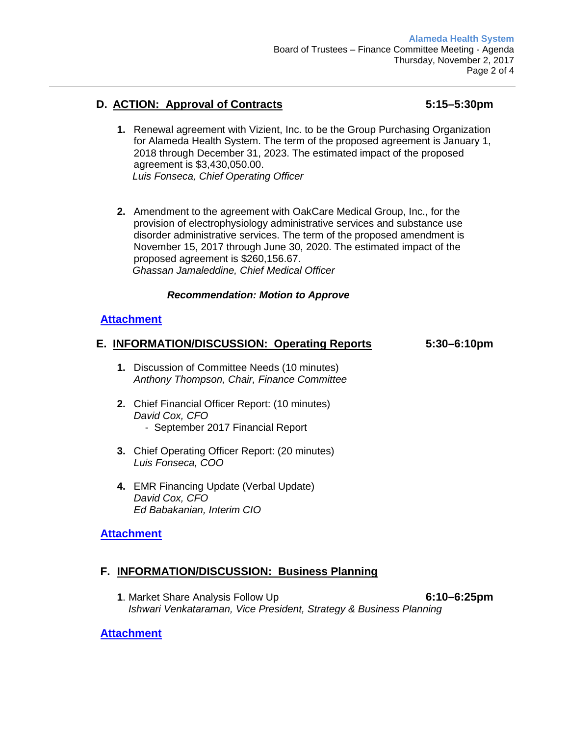## **D. ACTION: Approval of Contracts 5:15–5:30pm**

- **1.** Renewal agreement with Vizient, Inc. to be the Group Purchasing Organization for Alameda Health System. The term of the proposed agreement is January 1, 2018 through December 31, 2023. The estimated impact of the proposed agreement is \$3,430,050.00. *Luis Fonseca, Chief Operating Officer*
- **2.** Amendment to the agreement with OakCare Medical Group, Inc., for the provision of electrophysiology administrative services and substance use disorder administrative services. The term of the proposed amendment is November 15, 2017 through June 30, 2020. The estimated impact of the proposed agreement is \$260,156.67. *Ghassan Jamaleddine, Chief Medical Officer*

#### *Recommendation: Motion to Approve*

## **[Attachment](http://www.alamedahealthsystem.org/wp-content/uploads/2017/10/Tab-D-1.pdf)**

#### **E. INFORMATION/DISCUSSION: Operating Reports 5:30–6:10pm**

- **1.** Discussion of Committee Needs (10 minutes) *Anthony Thompson, Chair, Finance Committee*
- **2.** Chief Financial Officer Report: (10 minutes) *David Cox, CFO* - September 2017 Financial Report
- **3.** Chief Operating Officer Report: (20 minutes) *Luis Fonseca, COO*
- **4.** EMR Financing Update (Verbal Update) *David Cox, CFO Ed Babakanian, Interim CIO*

## **[Attachment](http://www.alamedahealthsystem.org/wp-content/uploads/2017/10/Tab-E-1.pdf)**

## **F. INFORMATION/DISCUSSION: Business Planning**

**1**. Market Share Analysis Follow Up **6:10–6:25pm**  *Ishwari Venkataraman, Vice President, Strategy & Business Planning* 

#### **[Attachment](http://www.alamedahealthsystem.org/wp-content/uploads/2017/10/Tab-F-1.pdf)**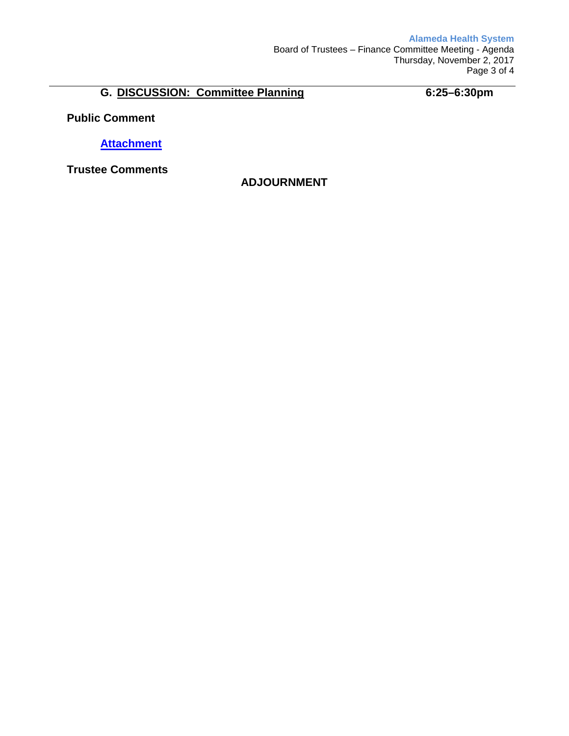# **G. DISCUSSION: Committee Planning 6:25–6:30pm**

**Public Comment**

**[Attachment](http://www.alamedahealthsystem.org/wp-content/uploads/2017/11/Considerations-for-GPO-Award2.pdf)**

**Trustee Comments**

## **ADJOURNMENT**